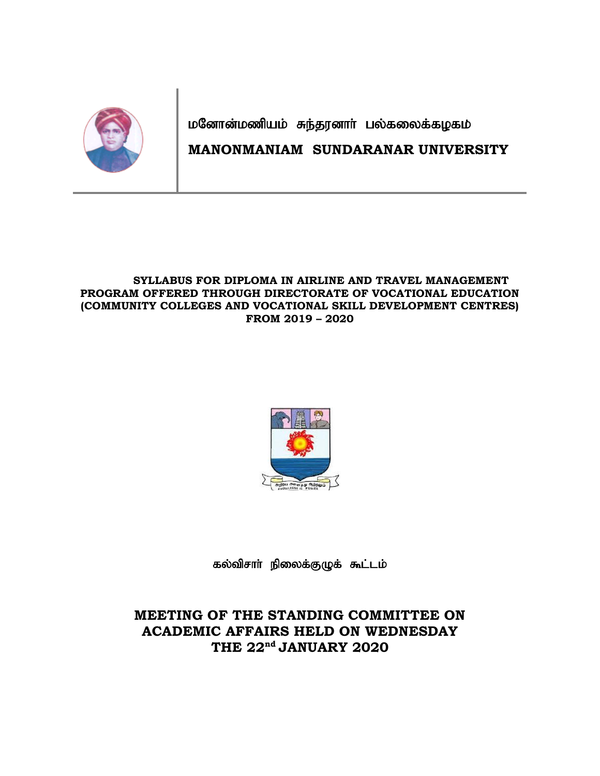

மனோன்மணியம் சுந்தரனாா் பல்கலைக்கழகம்

# **MANONMANIAM SUNDARANAR UNIVERSITY**

### **SYLLABUS FOR DIPLOMA IN AIRLINE AND TRAVEL MANAGEMENT PROGRAM OFFERED THROUGH DIRECTORATE OF VOCATIONAL EDUCATION (COMMUNITY COLLEGES AND VOCATIONAL SKILL DEVELOPMENT CENTRES) FROM 2019 – 2020**



கல்விசாா் நிலைக்குழுக் கூட்டம்

# **MEETING OF THE STANDING COMMITTEE ON ACADEMIC AFFAIRS HELD ON WEDNESDAY THE 22nd JANUARY 2020**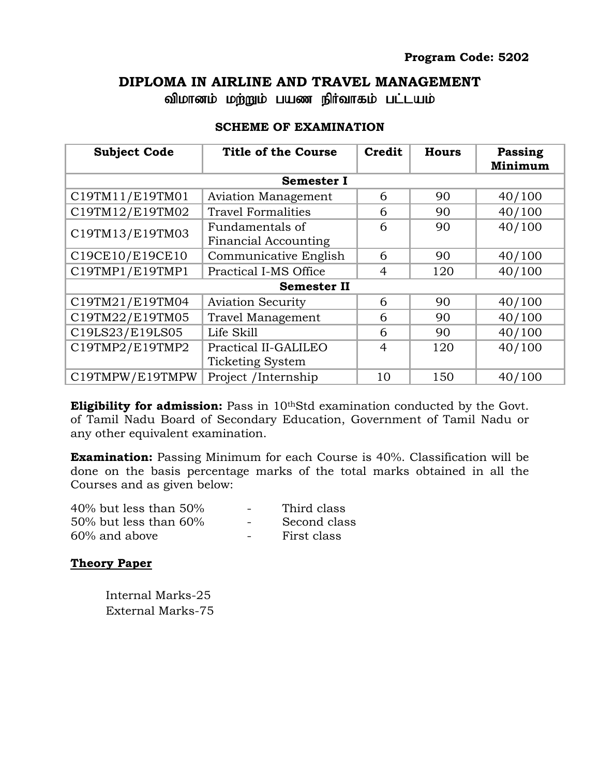## **DIPLOMA IN AIRLINE AND TRAVEL MANAGEMENT**

விமானம் மற்றும் பயண நிர்வாகம் பட்டயம்

| <b>Subject Code</b> | <b>Title of the Course</b>                      | <b>Credit</b>  | <b>Hours</b> | Passing<br>Minimum |  |  |  |
|---------------------|-------------------------------------------------|----------------|--------------|--------------------|--|--|--|
| <b>Semester I</b>   |                                                 |                |              |                    |  |  |  |
| C19TM11/E19TM01     | <b>Aviation Management</b><br>6<br>90           |                |              | 40/100             |  |  |  |
| C19TM12/E19TM02     | <b>Travel Formalities</b>                       | 6              | 90           | 40/100             |  |  |  |
| C19TM13/E19TM03     | Fundamentals of<br><b>Financial Accounting</b>  | 6              | 90           | 40/100             |  |  |  |
| C19CE10/E19CE10     | Communicative English                           | 6              | 90           | 40/100             |  |  |  |
| C19TMP1/E19TMP1     | Practical I-MS Office                           | $\overline{4}$ | 120          | 40/100             |  |  |  |
| <b>Semester II</b>  |                                                 |                |              |                    |  |  |  |
| C19TM21/E19TM04     | <b>Aviation Security</b>                        | 6              | 90           | 40/100             |  |  |  |
| C19TM22/E19TM05     | Travel Management                               | 6              | 90           | 40/100             |  |  |  |
| C19LS23/E19LS05     | Life Skill                                      | 6              | 90           | 40/100             |  |  |  |
| C19TMP2/E19TMP2     | Practical II-GALILEO<br><b>Ticketing System</b> | $\overline{4}$ | 120          | 40/100             |  |  |  |
| C19TMPW/E19TMPW     | Project /Internship                             | 10             | 150          | 40/100             |  |  |  |

## **SCHEME OF EXAMINATION**

**Eligibility for admission:** Pass in 10<sup>th</sup>Std examination conducted by the Govt. of Tamil Nadu Board of Secondary Education, Government of Tamil Nadu or any other equivalent examination.

**Examination:** Passing Minimum for each Course is 40%. Classification will be done on the basis percentage marks of the total marks obtained in all the Courses and as given below:

| $40\%$ but less than $50\%$ | $\sim$ | Third class  |
|-----------------------------|--------|--------------|
| $50\%$ but less than $60\%$ | $\sim$ | Second class |
| $60\%$ and above            | $\sim$ | First class  |

## **Theory Paper**

Internal Marks-25 External Marks-75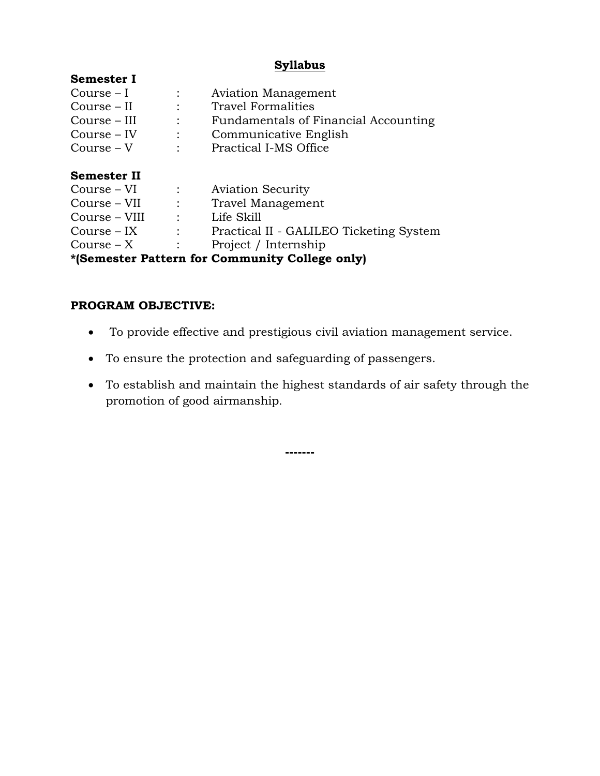## **Syllabus**

| Semester I                                     |                |                                         |  |  |
|------------------------------------------------|----------------|-----------------------------------------|--|--|
| Course $-I$                                    |                | <b>Aviation Management</b>              |  |  |
| Course – II                                    |                | <b>Travel Formalities</b>               |  |  |
| Course – III                                   |                | Fundamentals of Financial Accounting    |  |  |
| $Course - IV$                                  | $\ddot{\cdot}$ | Communicative English                   |  |  |
| $Course - V$                                   |                | Practical I-MS Office                   |  |  |
| Semester II                                    |                |                                         |  |  |
| Course – VI                                    |                | <b>Aviation Security</b>                |  |  |
| Course – VII                                   |                | Travel Management                       |  |  |
| Course – VIII                                  | $\mathcal{L}$  | Life Skill                              |  |  |
| $Course - IX$                                  |                | Practical II - GALILEO Ticketing System |  |  |
| $Course - X$                                   |                | Project / Internship                    |  |  |
| *(Semester Pattern for Community College only) |                |                                         |  |  |

### **PROGRAM OBJECTIVE:**

- To provide effective and prestigious civil aviation management service.
- To ensure the protection and safeguarding of passengers.
- To establish and maintain the highest standards of air safety through the promotion of good airmanship.

**-------**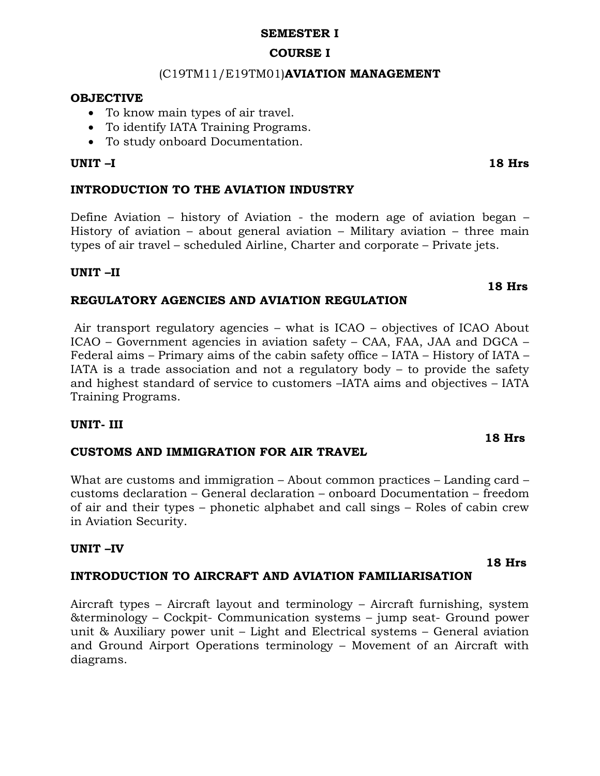#### **SEMESTER I**

## **COURSE I**

## (C19TM11/E19TM01)**AVIATION MANAGEMENT**

#### **OBJECTIVE**

- To know main types of air travel.
- To identify IATA Training Programs.
- To study onboard Documentation.

### **UNIT –I 18 Hrs**

### **INTRODUCTION TO THE AVIATION INDUSTRY**

Define Aviation – history of Aviation - the modern age of aviation began – History of aviation – about general aviation – Military aviation – three main types of air travel – scheduled Airline, Charter and corporate – Private jets.

### **UNIT –II**

### **REGULATORY AGENCIES AND AVIATION REGULATION**

Air transport regulatory agencies – what is ICAO – objectives of ICAO About ICAO – Government agencies in aviation safety – CAA, FAA, JAA and DGCA – Federal aims – Primary aims of the cabin safety office – IATA – History of IATA – IATA is a trade association and not a regulatory body  $-$  to provide the safety and highest standard of service to customers –IATA aims and objectives – IATA Training Programs.

#### **UNIT- III**

#### **CUSTOMS AND IMMIGRATION FOR AIR TRAVEL**

What are customs and immigration – About common practices – Landing card – customs declaration – General declaration – onboard Documentation – freedom of air and their types – phonetic alphabet and call sings – Roles of cabin crew in Aviation Security.

#### **UNIT –IV**

## **INTRODUCTION TO AIRCRAFT AND AVIATION FAMILIARISATION**

Aircraft types – Aircraft layout and terminology – Aircraft furnishing, system &terminology – Cockpit- Communication systems – jump seat- Ground power unit & Auxiliary power unit – Light and Electrical systems – General aviation and Ground Airport Operations terminology – Movement of an Aircraft with diagrams.

 **18 Hrs**

#### **18 Hrs**

 **18 Hrs**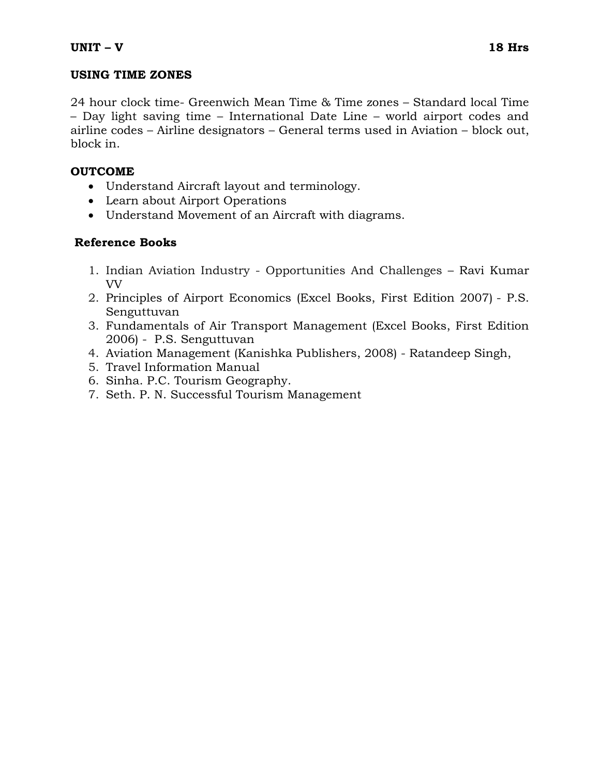## **USING TIME ZONES**

24 hour clock time- Greenwich Mean Time & Time zones – Standard local Time – Day light saving time – International Date Line – world airport codes and airline codes – Airline designators – General terms used in Aviation – block out, block in.

## **OUTCOME**

- Understand Aircraft layout and terminology.
- Learn about Airport Operations
- Understand Movement of an Aircraft with diagrams.

## **Reference Books**

- 1. Indian Aviation Industry Opportunities And Challenges Ravi Kumar VV
- 2. Principles of Airport Economics (Excel Books, First Edition 2007) P.S. Senguttuvan
- 3. Fundamentals of Air Transport Management (Excel Books, First Edition 2006) - P.S. Senguttuvan
- 4. Aviation Management (Kanishka Publishers, 2008) Ratandeep Singh,
- 5. Travel Information Manual
- 6. Sinha. P.C. Tourism Geography.
- 7. Seth. P. N. Successful Tourism Management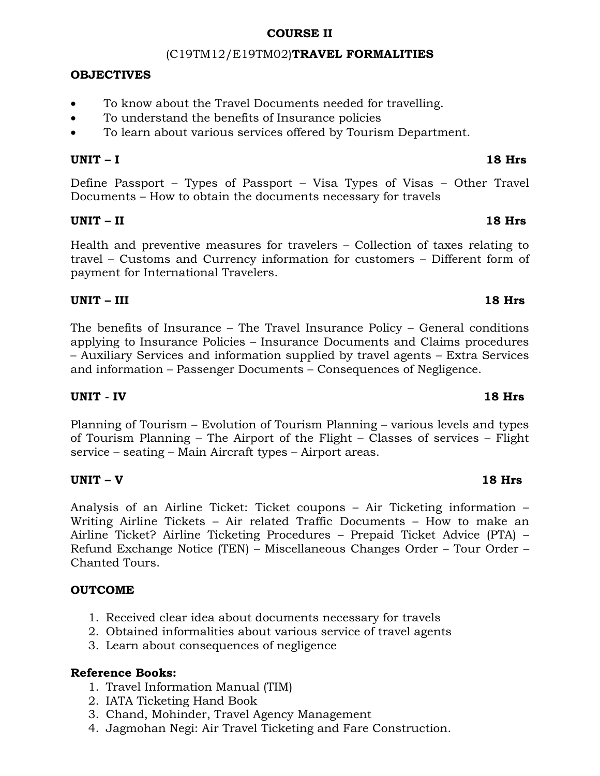## **COURSE II**

## (C19TM12/E19TM02)**TRAVEL FORMALITIES**

## **OBJECTIVES**

- To know about the Travel Documents needed for travelling.
- To understand the benefits of Insurance policies
- To learn about various services offered by Tourism Department.

## **UNIT – I 18 Hrs**

Define Passport – Types of Passport – Visa Types of Visas – Other Travel Documents – How to obtain the documents necessary for travels

## **UNIT – II 18 Hrs**

Health and preventive measures for travelers – Collection of taxes relating to travel – Customs and Currency information for customers – Different form of payment for International Travelers.

## **UNIT – III 18 Hrs**

The benefits of Insurance – The Travel Insurance Policy – General conditions applying to Insurance Policies – Insurance Documents and Claims procedures – Auxiliary Services and information supplied by travel agents – Extra Services and information – Passenger Documents – Consequences of Negligence.

## **UNIT - IV 18 Hrs**

Planning of Tourism – Evolution of Tourism Planning – various levels and types of Tourism Planning – The Airport of the Flight – Classes of services – Flight service – seating – Main Aircraft types – Airport areas.

## **UNIT – V 18 Hrs**

Analysis of an Airline Ticket: Ticket coupons – Air Ticketing information – Writing Airline Tickets – Air related Traffic Documents – How to make an Airline Ticket? Airline Ticketing Procedures – Prepaid Ticket Advice (PTA) – Refund Exchange Notice (TEN) – Miscellaneous Changes Order – Tour Order – Chanted Tours.

## **OUTCOME**

- 1. Received clear idea about documents necessary for travels
- 2. Obtained informalities about various service of travel agents
- 3. Learn about consequences of negligence

## **Reference Books:**

- 1. Travel Information Manual (TIM)
- 2. IATA Ticketing Hand Book
- 3. Chand, Mohinder, Travel Agency Management
- 4. Jagmohan Negi: Air Travel Ticketing and Fare Construction.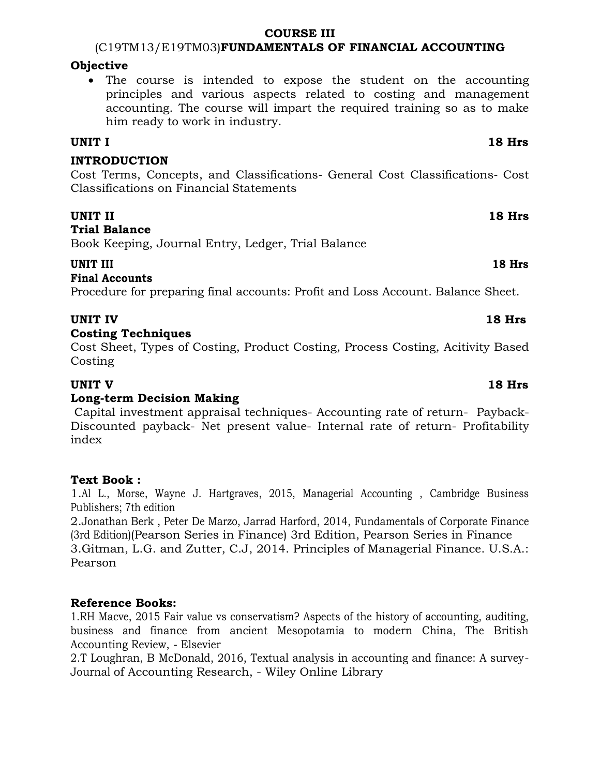#### **COURSE III**

(C19TM13/E19TM03)**FUNDAMENTALS OF FINANCIAL ACCOUNTING**

### **Objective**

 The course is intended to expose the student on the accounting principles and various aspects related to costing and management accounting. The course will impart the required training so as to make him ready to work in industry.

## **UNIT I 18 Hrs**

## **INTRODUCTION**

Cost Terms, Concepts, and Classifications- General Cost Classifications- Cost Classifications on Financial Statements

## **UNIT II** 18 Hrs

### **Trial Balance**

Book Keeping, Journal Entry, Ledger, Trial Balance

## **UNIT III 18 Hrs**

## **Final Accounts**

Procedure for preparing final accounts: Profit and Loss Account. Balance Sheet.

## **UNIT IV 18 Hrs**

## **Costing Techniques**

Cost Sheet, Types of Costing, Product Costing, Process Costing, Acitivity Based Costing

## **UNIT V 18 Hrs**

## **Long-term Decision Making**

Capital investment appraisal techniques- Accounting rate of return- Payback-Discounted payback- Net present value- Internal rate of return- Profitability index

## **Text Book :**

1[.Al](https://www.amazon.com/s/ref=dp_byline_sr_book_1?ie=UTF8&text=Al+L.%2C+Morse%2C+Wayne+J.+Hartgraves&search-alias=books&field-author=Al+L.%2C+Morse%2C+Wayne+J.+Hartgraves&sort=relevancerank) [L.,](https://www.amazon.com/s/ref=dp_byline_sr_book_1?ie=UTF8&text=Al+L.%2C+Morse%2C+Wayne+J.+Hartgraves&search-alias=books&field-author=Al+L.%2C+Morse%2C+Wayne+J.+Hartgraves&sort=relevancerank) [Morse,](https://www.amazon.com/s/ref=dp_byline_sr_book_1?ie=UTF8&text=Al+L.%2C+Morse%2C+Wayne+J.+Hartgraves&search-alias=books&field-author=Al+L.%2C+Morse%2C+Wayne+J.+Hartgraves&sort=relevancerank) [Wayne](https://www.amazon.com/s/ref=dp_byline_sr_book_1?ie=UTF8&text=Al+L.%2C+Morse%2C+Wayne+J.+Hartgraves&search-alias=books&field-author=Al+L.%2C+Morse%2C+Wayne+J.+Hartgraves&sort=relevancerank) [J.](https://www.amazon.com/s/ref=dp_byline_sr_book_1?ie=UTF8&text=Al+L.%2C+Morse%2C+Wayne+J.+Hartgraves&search-alias=books&field-author=Al+L.%2C+Morse%2C+Wayne+J.+Hartgraves&sort=relevancerank) [Hartgraves,](https://www.amazon.com/s/ref=dp_byline_sr_book_1?ie=UTF8&text=Al+L.%2C+Morse%2C+Wayne+J.+Hartgraves&search-alias=books&field-author=Al+L.%2C+Morse%2C+Wayne+J.+Hartgraves&sort=relevancerank) 2015, Managerial Accounting , Cambridge Business Publishers; 7th edition

2[.Jonathan](https://www.amazon.com/s/ref=dp_byline_sr_book_1?ie=UTF8&text=Jonathan+Berk&search-alias=books&field-author=Jonathan+Berk&sort=relevancerank) [Berk](https://www.amazon.com/s/ref=dp_byline_sr_book_1?ie=UTF8&text=Jonathan+Berk&search-alias=books&field-author=Jonathan+Berk&sort=relevancerank) , Peter De Marzo, Jarrad Harford, 2014, Fundamentals of Corporate Finance (3rd Edition)(Pearson Series in Finance) 3rd Edition, Pearson Series in Finance 3.Gitman, L.G. and Zutter, C.J, 2014. Principles of Managerial Finance. U.S.A.: Pearson

## **Reference Books:**

1.RH Macve, 2015 Fair value vs conservatism? Aspects of the history of accounting, auditing, business and finance from ancient Mesopotamia to modern China, The British Accounting Review, - Elsevier

2.T Loughran, B McDonald, 2016, Textual analysis in accounting and finance: A survey-Journal of Accounting Research, - Wiley Online Library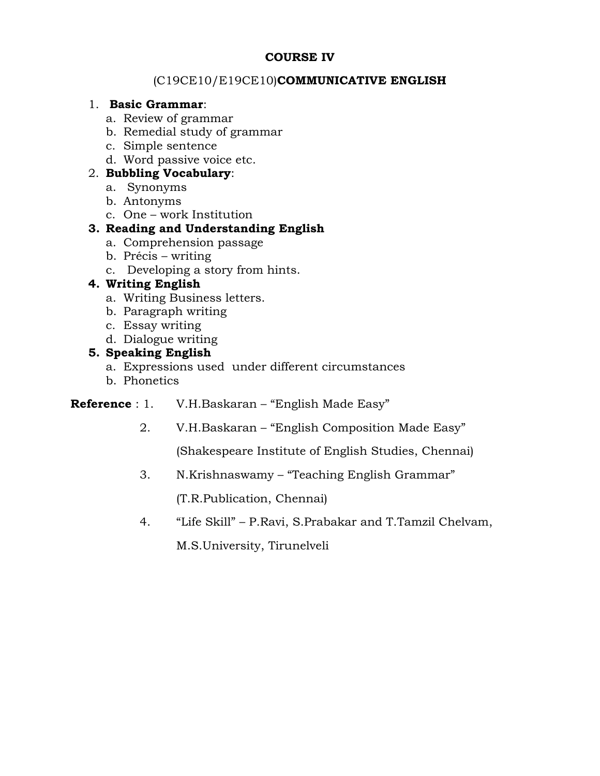## **COURSE IV**

## (C19CE10/E19CE10)**COMMUNICATIVE ENGLISH**

### 1. **Basic Grammar**:

- a. Review of grammar
- b. Remedial study of grammar
- c. Simple sentence
- d. Word passive voice etc.

## 2. **Bubbling Vocabulary**:

- a. Synonyms
- b. Antonyms
- c. One work Institution

## **3. Reading and Understanding English**

- a. Comprehension passage
- b. Précis writing
- c. Developing a story from hints.

## **4. Writing English**

- a. Writing Business letters.
- b. Paragraph writing
- c. Essay writing
- d. Dialogue writing

## **5. Speaking English**

- a. Expressions used under different circumstances
- b. Phonetics

## **Reference** : 1. V.H.Baskaran – "English Made Easy"

2. V.H.Baskaran – "English Composition Made Easy"

(Shakespeare Institute of English Studies, Chennai)

3. N.Krishnaswamy – "Teaching English Grammar"

(T.R.Publication, Chennai)

4. "Life Skill" – P.Ravi, S.Prabakar and T.Tamzil Chelvam,

M.S.University, Tirunelveli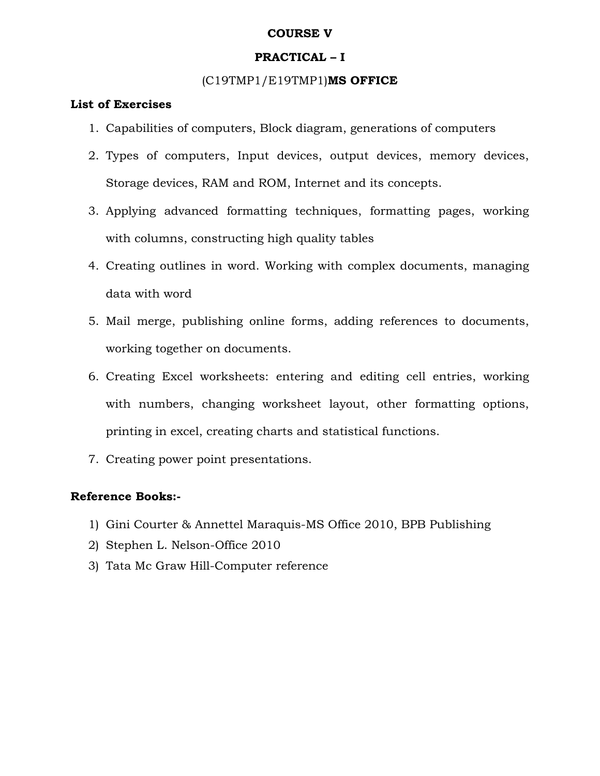### **COURSE V**

## **PRACTICAL – I**

### (C19TMP1/E19TMP1)**MS OFFICE**

#### **List of Exercises**

- 1. Capabilities of computers, Block diagram, generations of computers
- 2. Types of computers, Input devices, output devices, memory devices, Storage devices, RAM and ROM, Internet and its concepts.
- 3. Applying advanced formatting techniques, formatting pages, working with columns, constructing high quality tables
- 4. Creating outlines in word. Working with complex documents, managing data with word
- 5. Mail merge, publishing online forms, adding references to documents, working together on documents.
- 6. Creating Excel worksheets: entering and editing cell entries, working with numbers, changing worksheet layout, other formatting options, printing in excel, creating charts and statistical functions.
- 7. Creating power point presentations.

## **Reference Books:-**

- 1) Gini Courter & Annettel Maraquis-MS Office 2010, BPB Publishing
- 2) Stephen L. Nelson-Office 2010
- 3) Tata Mc Graw Hill-Computer reference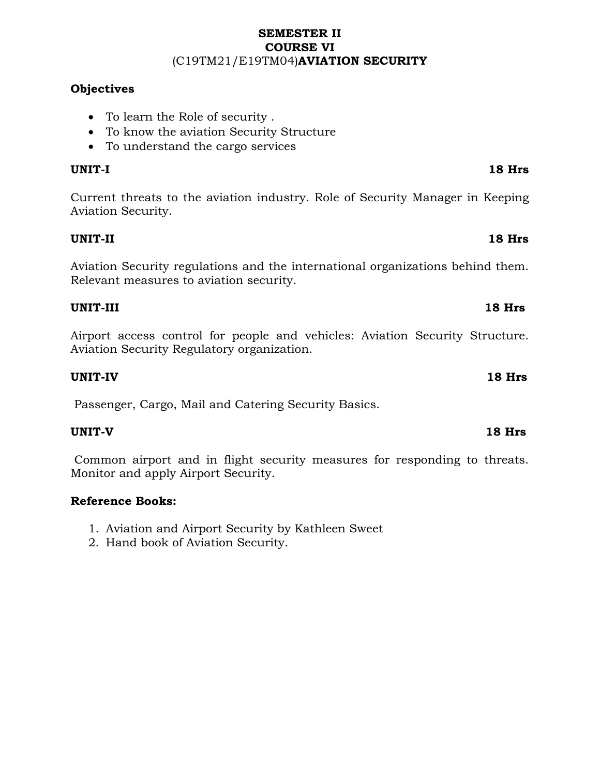## **SEMESTER II COURSE VI** (C19TM21/E19TM04)**AVIATION SECURITY**

## **Objectives**

- To learn the Role of security .
- To know the aviation Security Structure
- To understand the cargo services

## **UNIT-I 18 Hrs**

Current threats to the aviation industry. Role of Security Manager in Keeping Aviation Security.

## **UNIT-II 18 Hrs**

Aviation Security regulations and the international organizations behind them. Relevant measures to aviation security.

## **UNIT-III 18 Hrs**

Airport access control for people and vehicles: Aviation Security Structure. Aviation Security Regulatory organization.

## **UNIT-IV 18 Hrs**

Passenger, Cargo, Mail and Catering Security Basics.

## **UNIT-V 18 Hrs**

Common airport and in flight security measures for responding to threats. Monitor and apply Airport Security.

## **Reference Books:**

- 1. Aviation and Airport Security by Kathleen Sweet
- 2. Hand book of Aviation Security.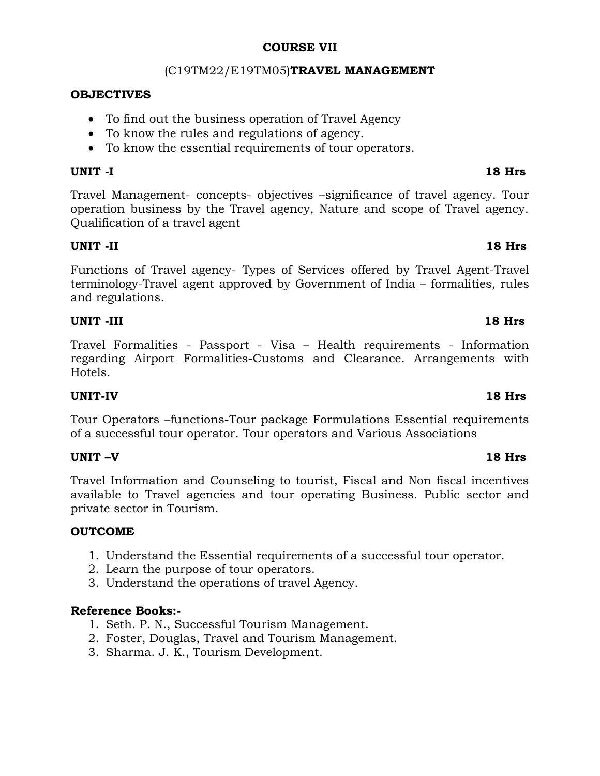#### **COURSE VII**

### (C19TM22/E19TM05)**TRAVEL MANAGEMENT**

### **OBJECTIVES**

- To find out the business operation of Travel Agency
- To know the rules and regulations of agency.
- To know the essential requirements of tour operators.

### **UNIT -I 18 Hrs**

Travel Management- concepts- objectives –significance of travel agency. Tour operation business by the Travel agency, Nature and scope of Travel agency. Qualification of a travel agent

### **UNIT -II 18 Hrs**

Functions of Travel agency- Types of Services offered by Travel Agent-Travel terminology-Travel agent approved by Government of India – formalities, rules and regulations.

### **UNIT -III 18 Hrs**

Travel Formalities - Passport - Visa – Health requirements - Information regarding Airport Formalities-Customs and Clearance. Arrangements with Hotels.

#### **UNIT-IV 18 Hrs**

Tour Operators –functions-Tour package Formulations Essential requirements of a successful tour operator. Tour operators and Various Associations

## **UNIT –V 18 Hrs**

Travel Information and Counseling to tourist, Fiscal and Non fiscal incentives available to Travel agencies and tour operating Business. Public sector and private sector in Tourism.

#### **OUTCOME**

- 1. Understand the Essential requirements of a successful tour operator.
- 2. Learn the purpose of tour operators.
- 3. Understand the operations of travel Agency.

## **Reference Books:-**

- 1. Seth. P. N., Successful Tourism Management.
- 2. Foster, Douglas, Travel and Tourism Management.
- 3. Sharma. J. K., Tourism Development.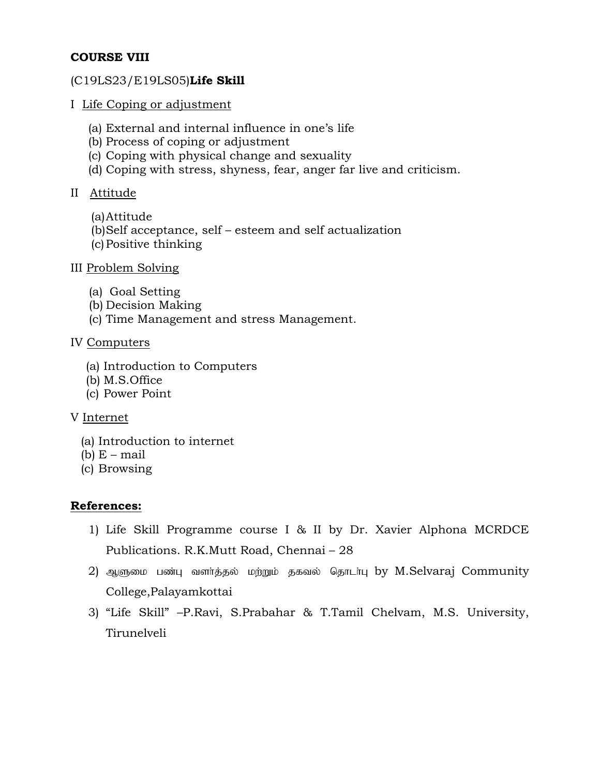## **COURSE VIII**

### (C19LS23/E19LS05)**Life Skill**

- I Life Coping or adjustment
	- (a) External and internal influence in one's life
	- (b) Process of coping or adjustment
	- (c) Coping with physical change and sexuality
	- (d) Coping with stress, shyness, fear, anger far live and criticism.

## II Attitude

- (a)Attitude
- (b)Self acceptance, self esteem and self actualization
- (c)Positive thinking
- III Problem Solving
	- (a) Goal Setting
	- (b) Decision Making
	- (c) Time Management and stress Management.

## IV Computers

- (a) Introduction to Computers
- (b) M.S.Office
- (c) Power Point

## V Internet

- (a) Introduction to internet
- (b)  $E$  mail
- (c) Browsing

## **References:**

- 1) Life Skill Programme course I & II by Dr. Xavier Alphona MCRDCE Publications. R.K.Mutt Road, Chennai – 28
- 2) ஆளுமை பண்பு வளர்த்தல் மற்றும் தகவல் தொடர்பு by M.Selvaraj Community College,Palayamkottai
- 3) "Life Skill" –P.Ravi, S.Prabahar & T.Tamil Chelvam, M.S. University, Tirunelveli